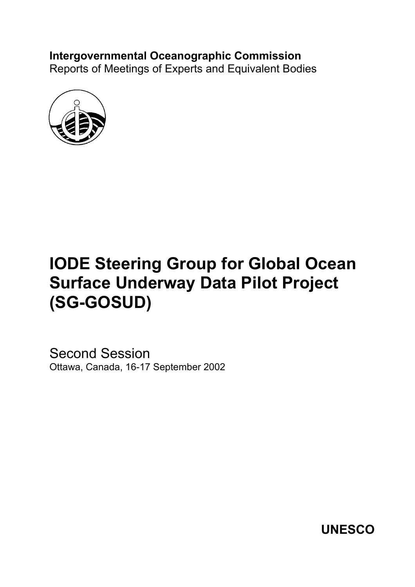# **Intergovernmental Oceanographic Commission**

Reports of Meetings of Experts and Equivalent Bodies



# **IODE Steering Group for Global Ocean Surface Underway Data Pilot Project (SG-GOSUD)**

Second Session Ottawa, Canada, 16-17 September 2002

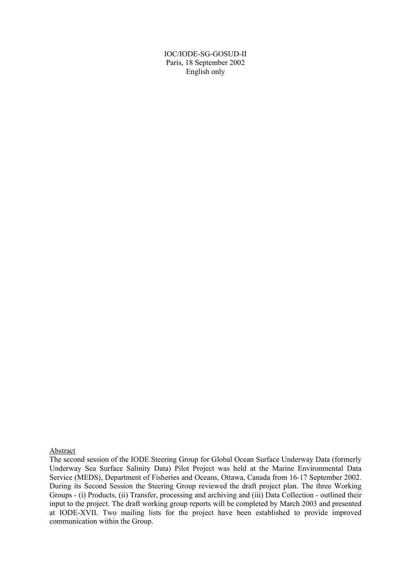IOC/IODE-SG-GOSUD-II Paris, 18 September 2002 English only

#### Abstract

The second session of the IODE Steering Group for Global Ocean Surface Underway Data (formerly Underway Sea Surface Salinity Data) Pilot Project was held at the Marine Environmental Data Service (MEDS), Department of Fisheries and Oceans, Ottawa, Canada from 16-17 September 2002. During its Second Session the Steering Group reviewed the draft project plan. The three Working Groups - (i) Products, (ii) Transfer, processing and archiving and (iii) Data Collection - outlined their input to the project. The draft working group reports will be completed by March 2003 and presented at IODE-XVII. Two mailing lists for the project have been established to provide improved communication within the Group.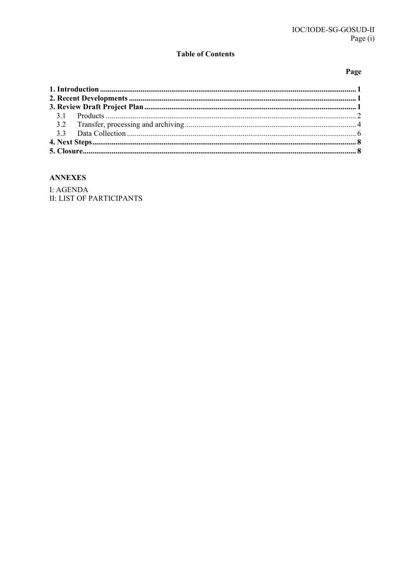# **Table of Contents**

# Page

# **ANNEXES**

I: AGENDA **II: LIST OF PARTICIPANTS**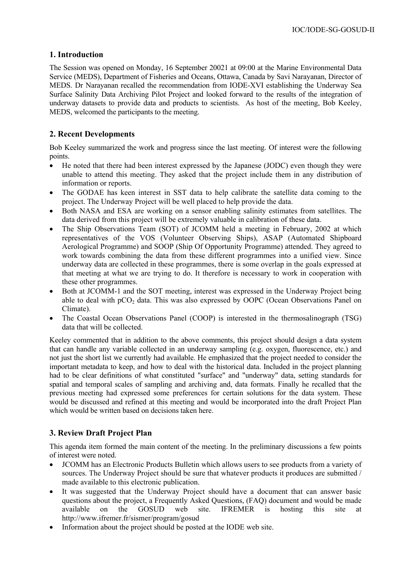# **1. Introduction**

The Session was opened on Monday, 16 September 20021 at 09:00 at the Marine Environmental Data Service (MEDS), Department of Fisheries and Oceans, Ottawa, Canada by Savi Narayanan, Director of MEDS. Dr Narayanan recalled the recommendation from IODE-XVI establishing the Underway Sea Surface Salinity Data Archiving Pilot Project and looked forward to the results of the integration of underway datasets to provide data and products to scientists. As host of the meeting, Bob Keeley, MEDS, welcomed the participants to the meeting.

# **2. Recent Developments**

Bob Keeley summarized the work and progress since the last meeting. Of interest were the following points.

- He noted that there had been interest expressed by the Japanese (JODC) even though they were unable to attend this meeting. They asked that the project include them in any distribution of information or reports.
- The GODAE has keen interest in SST data to help calibrate the satellite data coming to the project. The Underway Project will be well placed to help provide the data.
- Both NASA and ESA are working on a sensor enabling salinity estimates from satellites. The data derived from this project will be extremely valuable in calibration of these data.
- The Ship Observations Team (SOT) of JCOMM held a meeting in February, 2002 at which representatives of the VOS (Volunteer Observing Ships), ASAP (Automated Shipboard Aerological Programme) and SOOP (Ship Of Opportunity Programme) attended. They agreed to work towards combining the data from these different programmes into a unified view. Since underway data are collected in these programmes, there is some overlap in the goals expressed at that meeting at what we are trying to do. It therefore is necessary to work in cooperation with these other programmes.
- Both at JCOMM-1 and the SOT meeting, interest was expressed in the Underway Project being able to deal with  $pCO_2$  data. This was also expressed by OOPC (Ocean Observations Panel on Climate).
- The Coastal Ocean Observations Panel (COOP) is interested in the thermosalinograph (TSG) data that will be collected.

Keeley commented that in addition to the above comments, this project should design a data system that can handle any variable collected in an underway sampling (e.g. oxygen, fluorescence, etc.) and not just the short list we currently had available. He emphasized that the project needed to consider the important metadata to keep, and how to deal with the historical data. Included in the project planning had to be clear definitions of what constituted "surface" and "underway" data, setting standards for spatial and temporal scales of sampling and archiving and, data formats. Finally he recalled that the previous meeting had expressed some preferences for certain solutions for the data system. These would be discussed and refined at this meeting and would be incorporated into the draft Project Plan which would be written based on decisions taken here.

# **3. Review Draft Project Plan**

This agenda item formed the main content of the meeting. In the preliminary discussions a few points of interest were noted.

- JCOMM has an Electronic Products Bulletin which allows users to see products from a variety of sources. The Underway Project should be sure that whatever products it produces are submitted / made available to this electronic publication.
- It was suggested that the Underway Project should have a document that can answer basic questions about the project, a Frequently Asked Questions, (FAQ) document and would be made available on the GOSUD web site. IFREMER is hosting this site at http://www.ifremer.fr/sismer/program/gosud
- Information about the project should be posted at the IODE web site.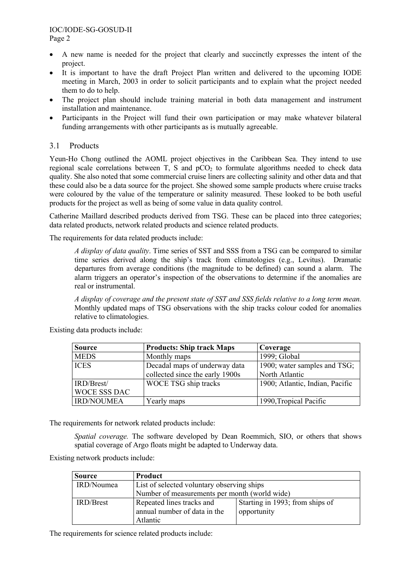- A new name is needed for the project that clearly and succinctly expresses the intent of the project.
- It is important to have the draft Project Plan written and delivered to the upcoming IODE meeting in March, 2003 in order to solicit participants and to explain what the project needed them to do to help.
- The project plan should include training material in both data management and instrument installation and maintenance.
- Participants in the Project will fund their own participation or may make whatever bilateral funding arrangements with other participants as is mutually agreeable.

## 3.1 Products

Yeun-Ho Chong outlined the AOML project objectives in the Caribbean Sea. They intend to use regional scale correlations between  $T$ , S and  $pCO<sub>2</sub>$  to formulate algorithms needed to check data quality. She also noted that some commercial cruise liners are collecting salinity and other data and that these could also be a data source for the project. She showed some sample products where cruise tracks were coloured by the value of the temperature or salinity measured. These looked to be both useful products for the project as well as being of some value in data quality control.

Catherine Maillard described products derived from TSG. These can be placed into three categories; data related products, network related products and science related products.

The requirements for data related products include:

*A display of data quality*. Time series of SST and SSS from a TSG can be compared to similar time series derived along the ship's track from climatologies (e.g., Levitus). Dramatic departures from average conditions (the magnitude to be defined) can sound a alarm. The alarm triggers an operator's inspection of the observations to determine if the anomalies are real or instrumental.

*A display of coverage and the present state of SST and SSS fields relative to a long term mean.*  Monthly updated maps of TSG observations with the ship tracks colour coded for anomalies relative to climatologies.

Existing data products include:

| <b>Source</b>       | <b>Products: Ship track Maps</b> | Coverage                        |
|---------------------|----------------------------------|---------------------------------|
| <b>MEDS</b>         | Monthly maps                     | 1999; Global                    |
| <b>ICES</b>         | Decadal maps of underway data    | 1900; water samples and TSG;    |
|                     | collected since the early 1900s  | North Atlantic                  |
| IRD/Brest/          | WOCE TSG ship tracks             | 1900; Atlantic, Indian, Pacific |
| <b>WOCE SSS DAC</b> |                                  |                                 |
| <b>IRD/NOUMEA</b>   | Yearly maps                      | 1990, Tropical Pacific          |

The requirements for network related products include:

*Spatial coverage.* The software developed by Dean Roemmich, SIO, or others that shows spatial coverage of Argo floats might be adapted to Underway data.

Existing network products include:

| <b>Source</b>                                            | Product                                       |                                 |
|----------------------------------------------------------|-----------------------------------------------|---------------------------------|
| IRD/Noumea<br>List of selected voluntary observing ships |                                               |                                 |
|                                                          | Number of measurements per month (world wide) |                                 |
| IRD/Brest                                                | Repeated lines tracks and                     | Starting in 1993; from ships of |
|                                                          | annual number of data in the                  | opportunity                     |
|                                                          | Atlantic                                      |                                 |

The requirements for science related products include: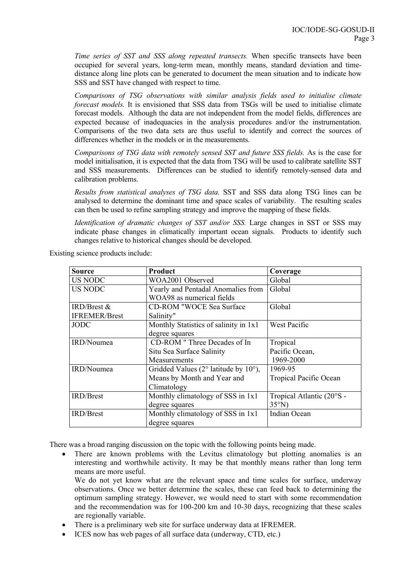*Time series of SST and SSS along repeated transects.* When specific transects have been occupied for several years, long-term mean, monthly means, standard deviation and timedistance along line plots can be generated to document the mean situation and to indicate how SSS and SST have changed with respect to time.

*Comparisons of TSG observations with similar analysis fields used to initialise climate forecast models.* It is envisioned that SSS data from TSGs will be used to initialise climate forecast models. Although the data are not independent from the model fields, differences are expected because of inadequacies in the analysis procedures and/or the instrumentation. Comparisons of the two data sets are thus useful to identify and correct the sources of differences whether in the models or in the measurements.

*Comparisons of TSG data with remotely sensed SST and future SSS fields.* As is the case for model initialisation, it is expected that the data from TSG will be used to calibrate satellite SST and SSS measurements. Differences can be studied to identify remotely-sensed data and calibration problems.

*Results from statistical analyses of TSG data.* SST and SSS data along TSG lines can be analysed to determine the dominant time and space scales of variability. The resulting scales can then be used to refine sampling strategy and improve the mapping of these fields.

*Identification of dramatic changes of SST and/or SSS.* Large changes in SST or SSS may indicate phase changes in climatically important ocean signals. Products to identify such changes relative to historical changes should be developed.

| <b>Source</b>        | Product                                                  | Coverage                  |
|----------------------|----------------------------------------------------------|---------------------------|
| US NODC              | WOA2001 Observed                                         | Global                    |
| <b>US NODC</b>       | Yearly and Pentadal Anomalies from                       | Global                    |
|                      | WOA98 as numerical fields                                |                           |
| $IRD/Brest \&$       | <b>CD-ROM "WOCE Sea Surface</b>                          | Global                    |
| <b>IFREMER/Brest</b> | Salinity"                                                |                           |
| <b>JODC</b>          | Monthly Statistics of salinity in 1x1                    | West Pacific              |
|                      | degree squares                                           |                           |
| IRD/Noumea           | CD-ROM "Three Decades of In                              | Tropical                  |
|                      | Situ Sea Surface Salinity                                | Pacific Ocean,            |
|                      | Measurements                                             | 1969-2000                 |
| IRD/Noumea           | Gridded Values ( $2^{\circ}$ latitude by $10^{\circ}$ ), | 1969-95                   |
|                      | Means by Month and Year and                              | Tropical Pacific Ocean    |
|                      | Climatology                                              |                           |
| <b>IRD/Brest</b>     | Monthly climatology of SSS in 1x1                        | Tropical Atlantic (20°S - |
|                      | degree squares                                           | $35^{\circ}$ N)           |
| <b>IRD/Brest</b>     | Monthly climatology of SSS in 1x1                        | Indian Ocean              |
|                      | degree squares                                           |                           |

Existing science products include:

There was a broad ranging discussion on the topic with the following points being made.

There are known problems with the Levitus climatology but plotting anomalies is an interesting and worthwhile activity. It may be that monthly means rather than long term means are more useful.

We do not yet know what are the relevant space and time scales for surface, underway observations. Once we better determine the scales, these can feed back to determining the optimum sampling strategy. However, we would need to start with some recommendation and the recommendation was for 100-200 km and 10-30 days, recognizing that these scales are regionally variable.

- There is a preliminary web site for surface underway data at IFREMER.
- ICES now has web pages of all surface data (underway, CTD, etc.)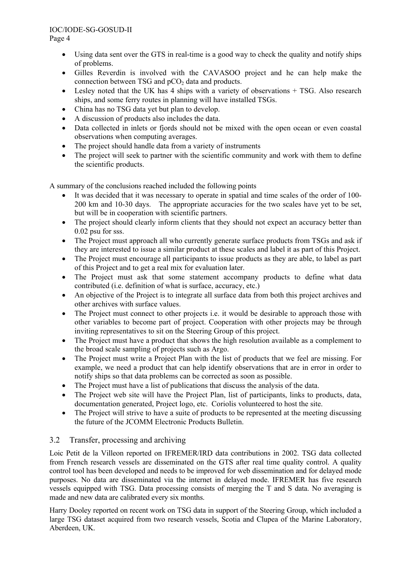#### IOC/IODE-SG-GOSUD-II Page 4

- Using data sent over the GTS in real-time is a good way to check the quality and notify ships of problems.
- Gilles Reverdin is involved with the CAVASOO project and he can help make the connection between TSG and  $pCO<sub>2</sub>$  data and products.
- Lesley noted that the UK has 4 ships with a variety of observations + TSG. Also research ships, and some ferry routes in planning will have installed TSGs.
- China has no TSG data yet but plan to develop.
- A discussion of products also includes the data.
- Data collected in inlets or fiords should not be mixed with the open ocean or even coastal observations when computing averages.
- The project should handle data from a variety of instruments
- The project will seek to partner with the scientific community and work with them to define the scientific products.

A summary of the conclusions reached included the following points

- It was decided that it was necessary to operate in spatial and time scales of the order of 100-200 km and 10-30 days. The appropriate accuracies for the two scales have yet to be set, but will be in cooperation with scientific partners.
- The project should clearly inform clients that they should not expect an accuracy better than 0.02 psu for sss.
- The Project must approach all who currently generate surface products from TSGs and ask if they are interested to issue a similar product at these scales and label it as part of this Project.
- The Project must encourage all participants to issue products as they are able, to label as part of this Project and to get a real mix for evaluation later.
- The Project must ask that some statement accompany products to define what data contributed (i.e. definition of what is surface, accuracy, etc.)
- An objective of the Project is to integrate all surface data from both this project archives and other archives with surface values.
- The Project must connect to other projects i.e. it would be desirable to approach those with other variables to become part of project. Cooperation with other projects may be through inviting representatives to sit on the Steering Group of this project.
- The Project must have a product that shows the high resolution available as a complement to the broad scale sampling of projects such as Argo.
- The Project must write a Project Plan with the list of products that we feel are missing. For example, we need a product that can help identify observations that are in error in order to notify ships so that data problems can be corrected as soon as possible.
- The Project must have a list of publications that discuss the analysis of the data.
- The Project web site will have the Project Plan, list of participants, links to products, data, documentation generated, Project logo, etc. Coriolis volunteered to host the site.
- The Project will strive to have a suite of products to be represented at the meeting discussing the future of the JCOMM Electronic Products Bulletin.

# 3.2 Transfer, processing and archiving

Loic Petit de la Villeon reported on IFREMER/IRD data contributions in 2002. TSG data collected from French research vessels are disseminated on the GTS after real time quality control. A quality control tool has been developed and needs to be improved for web dissemination and for delayed mode purposes. No data are disseminated via the internet in delayed mode. IFREMER has five research vessels equipped with TSG. Data processing consists of merging the T and S data. No averaging is made and new data are calibrated every six months.

Harry Dooley reported on recent work on TSG data in support of the Steering Group, which included a large TSG dataset acquired from two research vessels, Scotia and Clupea of the Marine Laboratory, Aberdeen, UK.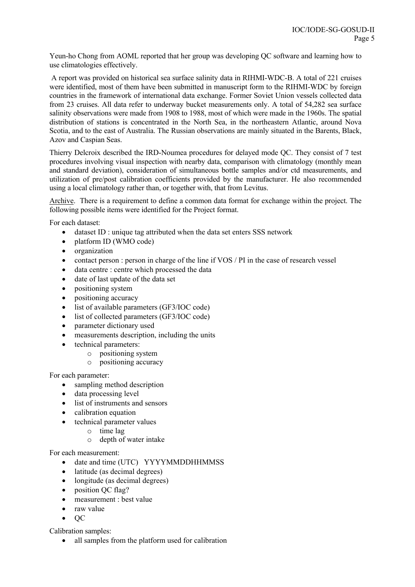Yeun-ho Chong from AOML reported that her group was developing QC software and learning how to use climatologies effectively.

 A report was provided on historical sea surface salinity data in RIHMI-WDC-B. A total of 221 cruises were identified, most of them have been submitted in manuscript form to the RIHMI-WDC by foreign countries in the framework of international data exchange. Former Soviet Union vessels collected data from 23 cruises. All data refer to underway bucket measurements only. A total of 54,282 sea surface salinity observations were made from 1908 to 1988, most of which were made in the 1960s. The spatial distribution of stations is concentrated in the North Sea, in the northeastern Atlantic, around Nova Scotia, and to the east of Australia. The Russian observations are mainly situated in the Barents, Black, Azov and Caspian Seas.

Thierry Delcroix described the IRD-Noumea procedures for delayed mode QC. They consist of 7 test procedures involving visual inspection with nearby data, comparison with climatology (monthly mean and standard deviation), consideration of simultaneous bottle samples and/or ctd measurements, and utilization of pre/post calibration coefficients provided by the manufacturer. He also recommended using a local climatology rather than, or together with, that from Levitus.

Archive. There is a requirement to define a common data format for exchange within the project. The following possible items were identified for the Project format.

For each dataset:

- dataset ID : unique tag attributed when the data set enters SSS network
- platform ID (WMO code)
- organization
- contact person : person in charge of the line if VOS / PI in the case of research vessel
- data centre : centre which processed the data
- date of last update of the data set
- positioning system
- positioning accuracy
- list of available parameters (GF3/IOC code)
- list of collected parameters (GF3/IOC code)
- parameter dictionary used
- measurements description, including the units
- technical parameters:
	- o positioning system
	- o positioning accuracy

For each parameter:

- sampling method description
- data processing level
- list of instruments and sensors
- calibration equation
- technical parameter values
	- o time lag
	- o depth of water intake

For each measurement:

- date and time (UTC) YYYYMMDDHHMMSS
- latitude (as decimal degrees)
- longitude (as decimal degrees)
- position QC flag?
- measurement · best value
- raw value
- $\bullet$  OC

Calibration samples:

• all samples from the platform used for calibration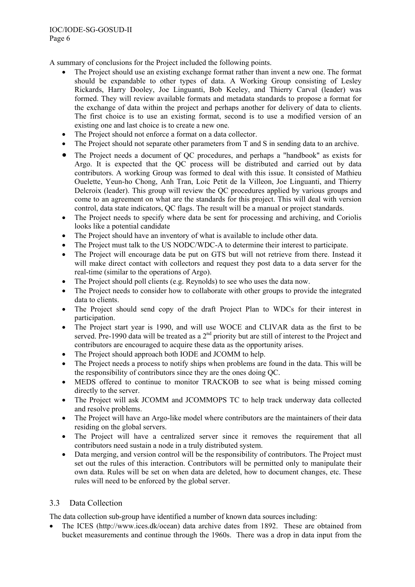A summary of conclusions for the Project included the following points.

- The Project should use an existing exchange format rather than invent a new one. The format should be expandable to other types of data. A Working Group consisting of Lesley Rickards, Harry Dooley, Joe Linguanti, Bob Keeley, and Thierry Carval (leader) was formed. They will review available formats and metadata standards to propose a format for the exchange of data within the project and perhaps another for delivery of data to clients. The first choice is to use an existing format, second is to use a modified version of an existing one and last choice is to create a new one.
- The Project should not enforce a format on a data collector.
- The Project should not separate other parameters from T and S in sending data to an archive.
- The Project needs a document of QC procedures, and perhaps a "handbook" as exists for Argo. It is expected that the QC process will be distributed and carried out by data contributors. A working Group was formed to deal with this issue. It consisted of Mathieu Ouelette, Yeun-ho Chong, Anh Tran, Loic Petit de la Villeon, Joe Linguanti, and Thierry Delcroix (leader). This group will review the QC procedures applied by various groups and come to an agreement on what are the standards for this project. This will deal with version control, data state indicators, QC flags. The result will be a manual or project standards.
- The Project needs to specify where data be sent for processing and archiving, and Coriolis looks like a potential candidate
- The Project should have an inventory of what is available to include other data.
- The Project must talk to the US NODC/WDC-A to determine their interest to participate.
- The Project will encourage data be put on GTS but will not retrieve from there. Instead it will make direct contact with collectors and request they post data to a data server for the real-time (similar to the operations of Argo).
- The Project should poll clients (e.g. Reynolds) to see who uses the data now.
- The Project needs to consider how to collaborate with other groups to provide the integrated data to clients.
- The Project should send copy of the draft Project Plan to WDCs for their interest in participation.
- The Project start year is 1990, and will use WOCE and CLIVAR data as the first to be served. Pre-1990 data will be treated as a 2<sup>nd</sup> priority but are still of interest to the Project and contributors are encouraged to acquire these data as the opportunity arises.
- The Project should approach both IODE and JCOMM to help.
- The Project needs a process to notify ships when problems are found in the data. This will be the responsibility of contributors since they are the ones doing QC.
- MEDS offered to continue to monitor TRACKOB to see what is being missed coming directly to the server.
- The Project will ask JCOMM and JCOMMOPS TC to help track underway data collected and resolve problems.
- The Project will have an Argo-like model where contributors are the maintainers of their data residing on the global servers.
- The Project will have a centralized server since it removes the requirement that all contributors need sustain a node in a truly distributed system.
- Data merging, and version control will be the responsibility of contributors. The Project must set out the rules of this interaction. Contributors will be permitted only to manipulate their own data. Rules will be set on when data are deleted, how to document changes, etc. These rules will need to be enforced by the global server.

# 3.3 Data Collection

The data collection sub-group have identified a number of known data sources including:

• The ICES (http://www.ices.dk/ocean) data archive dates from 1892. These are obtained from bucket measurements and continue through the 1960s. There was a drop in data input from the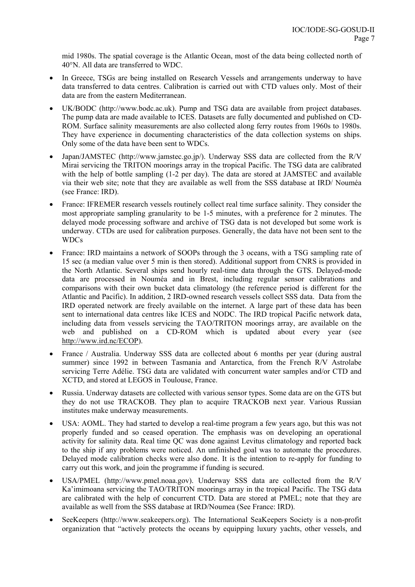mid 1980s. The spatial coverage is the Atlantic Ocean, most of the data being collected north of 40°N. All data are transferred to WDC.

- In Greece, TSGs are being installed on Research Vessels and arrangements underway to have data transferred to data centres. Calibration is carried out with CTD values only. Most of their data are from the eastern Mediterranean.
- UK/BODC (http://www.bodc.ac.uk). Pump and TSG data are available from project databases. The pump data are made available to ICES. Datasets are fully documented and published on CD-ROM. Surface salinity measurements are also collected along ferry routes from 1960s to 1980s. They have experience in documenting characteristics of the data collection systems on ships. Only some of the data have been sent to WDCs.
- Japan/JAMSTEC (http://www.jamstec.go.jp/). Underway SSS data are collected from the R/V Mirai servicing the TRITON moorings array in the tropical Pacific. The TSG data are calibrated with the help of bottle sampling (1-2 per day). The data are stored at JAMSTEC and available via their web site; note that they are available as well from the SSS database at IRD/ Nouméa (see France: IRD).
- France: IFREMER research vessels routinely collect real time surface salinity. They consider the most appropriate sampling granularity to be 1-5 minutes, with a preference for 2 minutes. The delayed mode processing software and archive of TSG data is not developed but some work is underway. CTDs are used for calibration purposes. Generally, the data have not been sent to the WDCs
- France: IRD maintains a network of SOOPs through the 3 oceans, with a TSG sampling rate of 15 sec (a median value over 5 min is then stored). Additional support from CNRS is provided in the North Atlantic. Several ships send hourly real-time data through the GTS. Delayed-mode data are processed in Nouméa and in Brest, including regular sensor calibrations and comparisons with their own bucket data climatology (the reference period is different for the Atlantic and Pacific). In addition, 2 IRD-owned research vessels collect SSS data. Data from the IRD operated network are freely available on the internet. A large part of these data has been sent to international data centres like ICES and NODC. The IRD tropical Pacific network data, including data from vessels servicing the TAO/TRITON moorings array, are available on the web and published on a CD-ROM which is updated about every year (see http://www.ird.nc/ECOP).
- France / Australia. Underway SSS data are collected about 6 months per year (during austral summer) since 1992 in between Tasmania and Antarctica, from the French R/V Astrolabe servicing Terre Adélie. TSG data are validated with concurrent water samples and/or CTD and XCTD, and stored at LEGOS in Toulouse, France.
- Russia. Underway datasets are collected with various sensor types. Some data are on the GTS but they do not use TRACKOB. They plan to acquire TRACKOB next year. Various Russian institutes make underway measurements.
- USA: AOML. They had started to develop a real-time program a few years ago, but this was not properly funded and so ceased operation. The emphasis was on developing an operational activity for salinity data. Real time QC was done against Levitus climatology and reported back to the ship if any problems were noticed. An unfinished goal was to automate the procedures. Delayed mode calibration checks were also done. It is the intention to re-apply for funding to carry out this work, and join the programme if funding is secured.
- USA/PMEL (http://www.pmel.noaa.gov). Underway SSS data are collected from the R/V Ka'imimoana servicing the TAO/TRITON moorings array in the tropical Pacific. The TSG data are calibrated with the help of concurrent CTD. Data are stored at PMEL; note that they are available as well from the SSS database at IRD/Noumea (See France: IRD).
- SeeKeepers (http://www.seakeepers.org). The International SeaKeepers Society is a non-profit organization that "actively protects the oceans by equipping luxury yachts, other vessels, and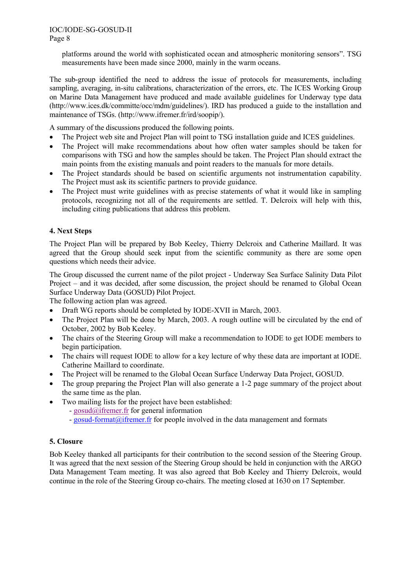platforms around the world with sophisticated ocean and atmospheric monitoring sensors". TSG measurements have been made since 2000, mainly in the warm oceans.

The sub-group identified the need to address the issue of protocols for measurements, including sampling, averaging, in-situ calibrations, characterization of the errors, etc. The ICES Working Group on Marine Data Management have produced and made available guidelines for Underway type data (http://www.ices.dk/committe/occ/mdm/guidelines/). IRD has produced a guide to the installation and maintenance of TSGs. (http://www.ifremer.fr/ird/soopip/).

A summary of the discussions produced the following points.

- The Project web site and Project Plan will point to TSG installation guide and ICES guidelines.
- The Project will make recommendations about how often water samples should be taken for comparisons with TSG and how the samples should be taken. The Project Plan should extract the main points from the existing manuals and point readers to the manuals for more details.
- The Project standards should be based on scientific arguments not instrumentation capability. The Project must ask its scientific partners to provide guidance.
- The Project must write guidelines with as precise statements of what it would like in sampling protocols, recognizing not all of the requirements are settled. T. Delcroix will help with this, including citing publications that address this problem.

# **4. Next Steps**

The Project Plan will be prepared by Bob Keeley, Thierry Delcroix and Catherine Maillard. It was agreed that the Group should seek input from the scientific community as there are some open questions which needs their advice.

The Group discussed the current name of the pilot project - Underway Sea Surface Salinity Data Pilot Project – and it was decided, after some discussion, the project should be renamed to Global Ocean Surface Underway Data (GOSUD) Pilot Project.

The following action plan was agreed.

- Draft WG reports should be completed by IODE-XVII in March, 2003.
- The Project Plan will be done by March, 2003. A rough outline will be circulated by the end of October, 2002 by Bob Keeley.
- The chairs of the Steering Group will make a recommendation to IODE to get IODE members to begin participation.
- The chairs will request IODE to allow for a key lecture of why these data are important at IODE. Catherine Maillard to coordinate.
- The Project will be renamed to the Global Ocean Surface Underway Data Project, GOSUD.
- The group preparing the Project Plan will also generate a 1-2 page summary of the project about the same time as the plan.
- Two mailing lists for the project have been established:
	- gosud@ifremer.fr for general information
	- gosud-format@ifremer.fr for people involved in the data management and formats

#### **5. Closure**

Bob Keeley thanked all participants for their contribution to the second session of the Steering Group. It was agreed that the next session of the Steering Group should be held in conjunction with the ARGO Data Management Team meeting. It was also agreed that Bob Keeley and Thierry Delcroix, would continue in the role of the Steering Group co-chairs. The meeting closed at 1630 on 17 September.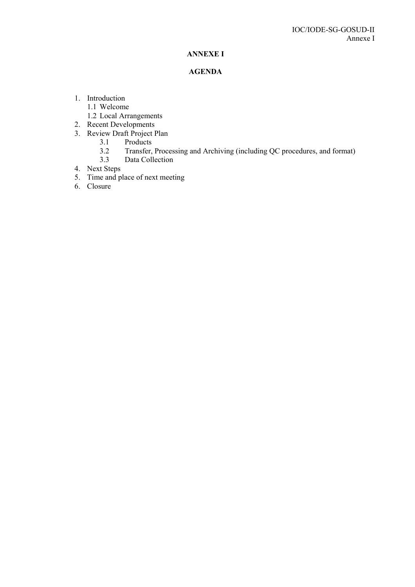# **ANNEXE I**

## **AGENDA**

- 1. Introduction
	- 1.1 Welcome
	- 1.2 Local Arrangements
- 2. Recent Developments
- 3. Review Draft Project Plan
	- 3.1 Products
		- 3.2 Transfer, Processing and Archiving (including QC procedures, and format)<br>3.3 Data Collection
		- Data Collection
- 4. Next Steps
- 5. Time and place of next meeting
- 6. Closure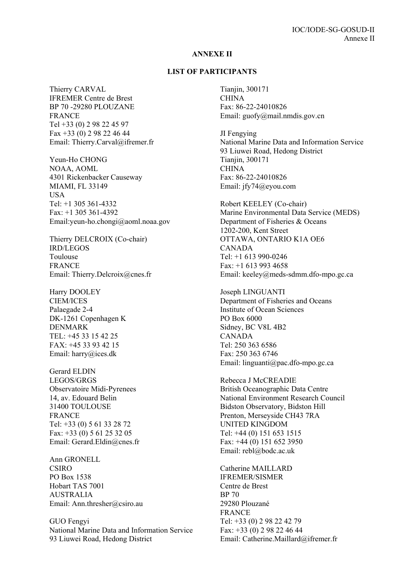#### **ANNEXE II**

#### **LIST OF PARTICIPANTS**

Thierry CARVAL IFREMER Centre de Brest BP 70 -29280 PLOUZANE FRANCE Tel +33 (0) 2 98 22 45 97 Fax +33 (0) 2 98 22 46 44 Email: Thierry.Carval@ifremer.fr

Yeun-Ho CHONG NOAA, AOML 4301 Rickenbacker Causeway MIAMI, FL 33149 USA Tel:  $+1$  305 361-4332 Fax: +1 305 361-4392 Email:yeun-ho.chongi@aoml.noaa.gov

Thierry DELCROIX (Co-chair) IRD/LEGOS Toulouse FRANCE Email: Thierry.Delcroix@cnes.fr

Harry DOOLEY CIEM/ICES Palaegade 2-4 DK-1261 Copenhagen K DENMARK TEL: +45 33 15 42 25 FAX: +45 33 93 42 15 Email: harry@ices.dk

Gerard ELDIN LEGOS/GRGS Observatoire Midi-Pyrenees 14, av. Edouard Belin 31400 TOULOUSE FRANCE Tel: +33 (0) 5 61 33 28 72 Fax: +33 (0) 5 61 25 32 05 Email: Gerard.Eldin@cnes.fr

Ann GRONELL **CSIRO** PO Box 1538 Hobart TAS 7001 AUSTRALIA Email: Ann.thresher@csiro.au

GUO Fengyi National Marine Data and Information Service 93 Liuwei Road, Hedong District

Tianiin, 300171 **CHINA** Fax: 86-22-24010826 Email: guofy@mail.nmdis.gov.cn

JI Fengying National Marine Data and Information Service 93 Liuwei Road, Hedong District Tianjin, 300171 **CHINA** Fax: 86-22-24010826 Email: jfy74@eyou.com

Robert KEELEY (Co-chair) Marine Environmental Data Service (MEDS) Department of Fisheries & Oceans 1202-200, Kent Street OTTAWA, ONTARIO K1A OE6 CANADA Tel: +1 613 990-0246 Fax: +1 613 993 4658 Email: keeley@meds-sdmm.dfo-mpo.gc.ca

Joseph LINGUANTI Department of Fisheries and Oceans Institute of Ocean Sciences PO Box 6000 Sidney, BC V8L 4B2 CANADA Tel: 250 363 6586 Fax: 250 363 6746 Email: linguanti@pac.dfo-mpo.gc.ca

Rebecca J McCREADIE British Oceanographic Data Centre National Environment Research Council Bidston Observatory, Bidston Hill Prenton, Merseyside CH43 7RA UNITED KINGDOM Tel: +44 (0) 151 653 1515 Fax: +44 (0) 151 652 3950 Email: rebl@bodc.ac.uk

Catherine MAILLARD IFREMER/SISMER Centre de Brest BP 70 29280 Plouzané FRANCE Tel: +33 (0) 2 98 22 42 79 Fax: +33 (0) 2 98 22 46 44 Email: Catherine.Maillard@ifremer.fr